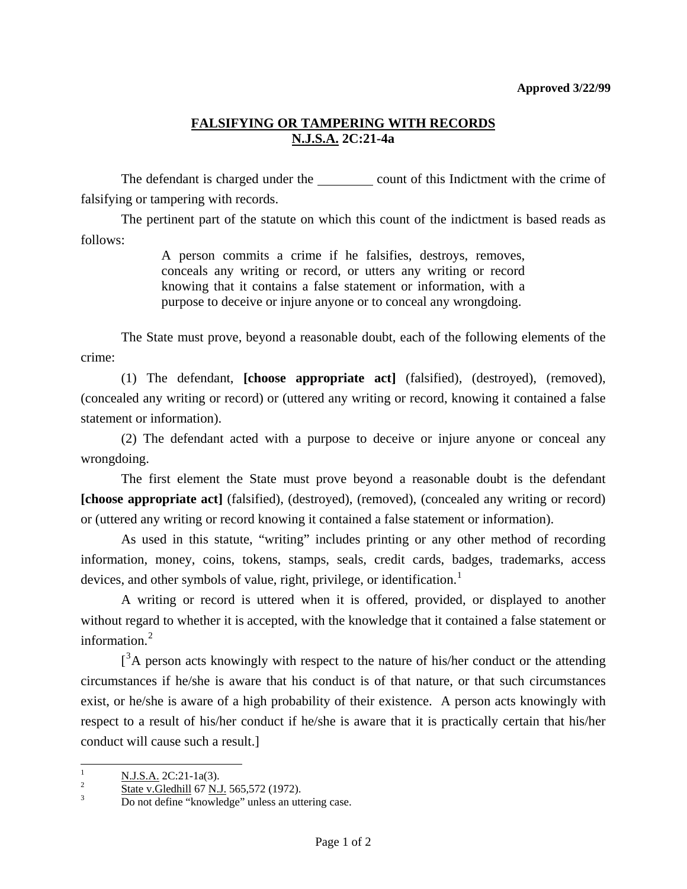## **FALSIFYING OR TAMPERING WITH RECORDS N.J.S.A. 2C:21-4a**

The defendant is charged under the count of this Indictment with the crime of falsifying or tampering with records.

 The pertinent part of the statute on which this count of the indictment is based reads as follows:

> A person commits a crime if he falsifies, destroys, removes, conceals any writing or record, or utters any writing or record knowing that it contains a false statement or information, with a purpose to deceive or injure anyone or to conceal any wrongdoing.

 The State must prove, beyond a reasonable doubt, each of the following elements of the crime:

 (1) The defendant, **[choose appropriate act]** (falsified), (destroyed), (removed), (concealed any writing or record) or (uttered any writing or record, knowing it contained a false statement or information).

 (2) The defendant acted with a purpose to deceive or injure anyone or conceal any wrongdoing.

 The first element the State must prove beyond a reasonable doubt is the defendant **[choose appropriate act]** (falsified), (destroyed), (removed), (concealed any writing or record) or (uttered any writing or record knowing it contained a false statement or information).

 As used in this statute, "writing" includes printing or any other method of recording information, money, coins, tokens, stamps, seals, credit cards, badges, trademarks, access devices, and other symbols of value, right, privilege, or identification.<sup>[1](#page-0-0)</sup>

 A writing or record is uttered when it is offered, provided, or displayed to another without regard to whether it is accepted, with the knowledge that it contained a false statement or information.<sup>[2](#page-0-1)</sup>

 $\int^3$  $\int^3$ A person acts knowingly with respect to the nature of his/her conduct or the attending circumstances if he/she is aware that his conduct is of that nature, or that such circumstances exist, or he/she is aware of a high probability of their existence. A person acts knowingly with respect to a result of his/her conduct if he/she is aware that it is practically certain that his/her conduct will cause such a result.]

<span id="page-0-0"></span><sup>|&</sup>lt;br>|<br>|  $\frac{N. J.S.A.}{2}$  2C:21-1a(3).

<span id="page-0-1"></span> $\frac{2}{3}$  State v. Gledhill 67 N.J. 565,572 (1972).

<span id="page-0-2"></span>Do not define "knowledge" unless an uttering case.